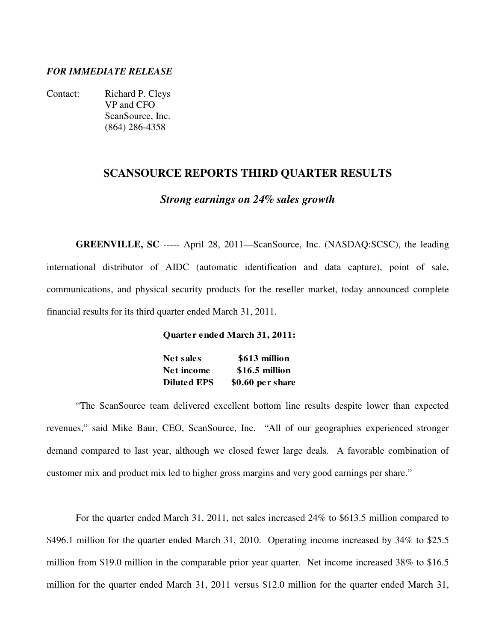## *FOR IMMEDIATE RELEASE*

Contact: Richard P. Cleys VP and CFO ScanSource, Inc. (864) 286-4358

## **SCANSOURCE REPORTS THIRD QUARTER RESULTS**

#### *Strong earnings on 24% sales growth*

**GREENVILLE, SC** ----- April 28, 2011—ScanSource, Inc. (NASDAQ:SCSC), the leading international distributor of AIDC (automatic identification and data capture), point of sale, communications, and physical security products for the reseller market, today announced complete financial results for its third quarter ended March 31, 2011.

#### **Quarter ended March 31, 2011:**

| <b>Net sales</b>   | \$613 million    |
|--------------------|------------------|
| Net income         | \$16.5 million   |
| <b>Diluted EPS</b> | \$0.60 per share |

 "The ScanSource team delivered excellent bottom line results despite lower than expected revenues," said Mike Baur, CEO, ScanSource, Inc. "All of our geographies experienced stronger demand compared to last year, although we closed fewer large deals. A favorable combination of customer mix and product mix led to higher gross margins and very good earnings per share."

 For the quarter ended March 31, 2011, net sales increased 24% to \$613.5 million compared to \$496.1 million for the quarter ended March 31, 2010. Operating income increased by 34% to \$25.5 million from \$19.0 million in the comparable prior year quarter. Net income increased 38% to \$16.5 million for the quarter ended March 31, 2011 versus \$12.0 million for the quarter ended March 31,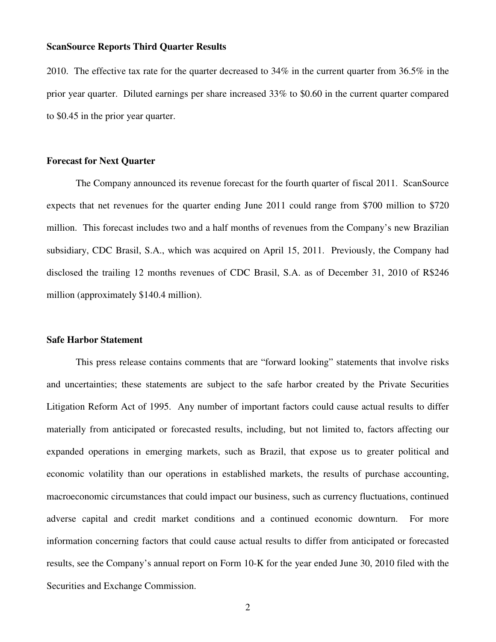2010. The effective tax rate for the quarter decreased to 34% in the current quarter from 36.5% in the prior year quarter. Diluted earnings per share increased 33% to \$0.60 in the current quarter compared to \$0.45 in the prior year quarter.

### **Forecast for Next Quarter**

 The Company announced its revenue forecast for the fourth quarter of fiscal 2011. ScanSource expects that net revenues for the quarter ending June 2011 could range from \$700 million to \$720 million. This forecast includes two and a half months of revenues from the Company's new Brazilian subsidiary, CDC Brasil, S.A., which was acquired on April 15, 2011. Previously, the Company had disclosed the trailing 12 months revenues of CDC Brasil, S.A. as of December 31, 2010 of R\$246 million (approximately \$140.4 million).

#### **Safe Harbor Statement**

 This press release contains comments that are "forward looking" statements that involve risks and uncertainties; these statements are subject to the safe harbor created by the Private Securities Litigation Reform Act of 1995. Any number of important factors could cause actual results to differ materially from anticipated or forecasted results, including, but not limited to, factors affecting our expanded operations in emerging markets, such as Brazil, that expose us to greater political and economic volatility than our operations in established markets, the results of purchase accounting, macroeconomic circumstances that could impact our business, such as currency fluctuations, continued adverse capital and credit market conditions and a continued economic downturn. For more information concerning factors that could cause actual results to differ from anticipated or forecasted results, see the Company's annual report on Form 10-K for the year ended June 30, 2010 filed with the Securities and Exchange Commission.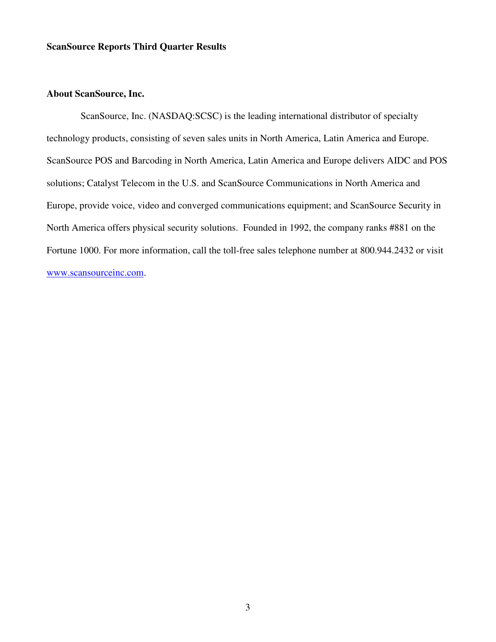## **About ScanSource, Inc.**

 ScanSource, Inc. (NASDAQ:SCSC) is the leading international distributor of specialty technology products, consisting of seven sales units in North America, Latin America and Europe. ScanSource POS and Barcoding in North America, Latin America and Europe delivers AIDC and POS solutions; Catalyst Telecom in the U.S. and ScanSource Communications in North America and Europe, provide voice, video and converged communications equipment; and ScanSource Security in North America offers physical security solutions. Founded in 1992, the company ranks #881 on the Fortune 1000. For more information, call the toll-free sales telephone number at 800.944.2432 or visit www.scansourceinc.com.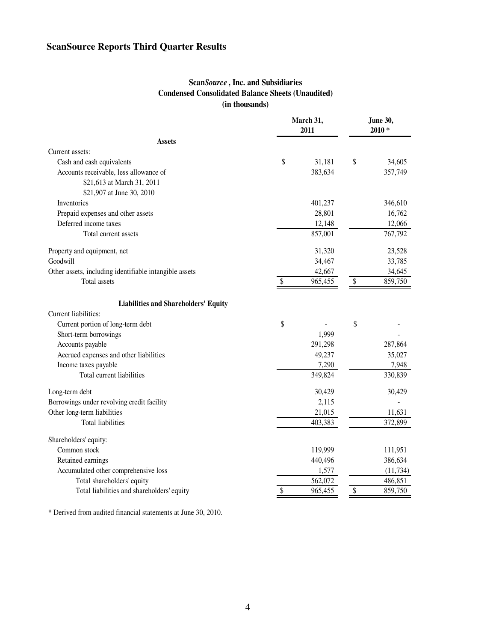## **Scan***Source* **, Inc. and Subsidiaries Condensed Consolidated Balance Sheets (Unaudited) (in thousands)**

|                                                        | March 31,<br>2011 | June 30,<br>$2010*$ |           |  |
|--------------------------------------------------------|-------------------|---------------------|-----------|--|
| <b>Assets</b>                                          |                   |                     |           |  |
| Current assets:                                        |                   |                     |           |  |
| Cash and cash equivalents                              | \$<br>31,181      | \$                  | 34,605    |  |
| Accounts receivable, less allowance of                 | 383,634           |                     | 357,749   |  |
| \$21,613 at March 31, 2011                             |                   |                     |           |  |
| \$21,907 at June 30, 2010                              |                   |                     |           |  |
| Inventories                                            | 401,237           |                     | 346,610   |  |
| Prepaid expenses and other assets                      | 28,801            |                     | 16,762    |  |
| Deferred income taxes                                  | 12,148            |                     | 12,066    |  |
| Total current assets                                   | 857,001           |                     | 767,792   |  |
| Property and equipment, net                            | 31,320            |                     | 23,528    |  |
| Goodwill                                               | 34,467            |                     | 33,785    |  |
| Other assets, including identifiable intangible assets | 42,667            |                     | 34,645    |  |
| <b>Total</b> assets                                    | \$<br>965,455     | \$                  | 859,750   |  |
| <b>Liabilities and Shareholders' Equity</b>            |                   |                     |           |  |
| Current liabilities:                                   |                   |                     |           |  |
| Current portion of long-term debt                      | \$                | \$                  |           |  |
| Short-term borrowings                                  | 1,999             |                     |           |  |
| Accounts payable                                       | 291,298           |                     | 287,864   |  |
| Accrued expenses and other liabilities                 | 49,237            |                     | 35,027    |  |
| Income taxes payable                                   | 7,290             |                     | 7,948     |  |
| Total current liabilities                              | 349,824           |                     | 330,839   |  |
| Long-term debt                                         | 30,429            |                     | 30,429    |  |
| Borrowings under revolving credit facility             | 2,115             |                     |           |  |
| Other long-term liabilities                            | 21,015            |                     | 11,631    |  |
| <b>Total liabilities</b>                               | 403,383           |                     | 372,899   |  |
| Shareholders' equity:                                  |                   |                     |           |  |
| Common stock                                           | 119,999           |                     | 111,951   |  |
| Retained earnings                                      | 440,496           |                     | 386,634   |  |
| Accumulated other comprehensive loss                   | 1,577             |                     | (11, 734) |  |
| Total shareholders' equity                             | 562,072           |                     | 486,851   |  |
| Total liabilities and shareholders' equity             | \$<br>965,455     | \$                  | 859,750   |  |

\* Derived from audited financial statements at June 30, 2010.